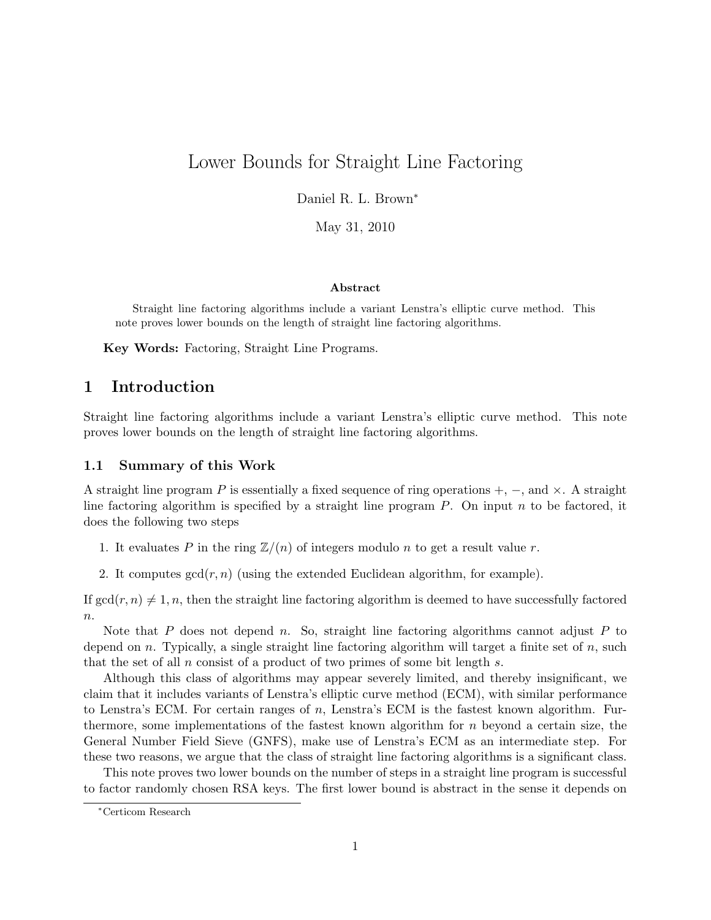# Lower Bounds for Straight Line Factoring

Daniel R. L. Brown<sup>∗</sup>

May 31, 2010

#### Abstract

Straight line factoring algorithms include a variant Lenstra's elliptic curve method. This note proves lower bounds on the length of straight line factoring algorithms.

Key Words: Factoring, Straight Line Programs.

### 1 Introduction

Straight line factoring algorithms include a variant Lenstra's elliptic curve method. This note proves lower bounds on the length of straight line factoring algorithms.

#### 1.1 Summary of this Work

A straight line program P is essentially a fixed sequence of ring operations  $+$ ,  $-$ , and  $\times$ . A straight line factoring algorithm is specified by a straight line program  $P$ . On input  $n$  to be factored, it does the following two steps

- 1. It evaluates P in the ring  $\mathbb{Z}/(n)$  of integers modulo n to get a result value r.
- 2. It computes  $gcd(r, n)$  (using the extended Euclidean algorithm, for example).

If  $gcd(r, n) \neq 1, n$ , then the straight line factoring algorithm is deemed to have successfully factored  $n$ .

Note that P does not depend n. So, straight line factoring algorithms cannot adjust P to depend on n. Typically, a single straight line factoring algorithm will target a finite set of n, such that the set of all  $n$  consist of a product of two primes of some bit length  $s$ .

Although this class of algorithms may appear severely limited, and thereby insignificant, we claim that it includes variants of Lenstra's elliptic curve method (ECM), with similar performance to Lenstra's ECM. For certain ranges of  $n$ , Lenstra's ECM is the fastest known algorithm. Furthermore, some implementations of the fastest known algorithm for  $n$  beyond a certain size, the General Number Field Sieve (GNFS), make use of Lenstra's ECM as an intermediate step. For these two reasons, we argue that the class of straight line factoring algorithms is a significant class.

This note proves two lower bounds on the number of steps in a straight line program is successful to factor randomly chosen RSA keys. The first lower bound is abstract in the sense it depends on

<sup>∗</sup>Certicom Research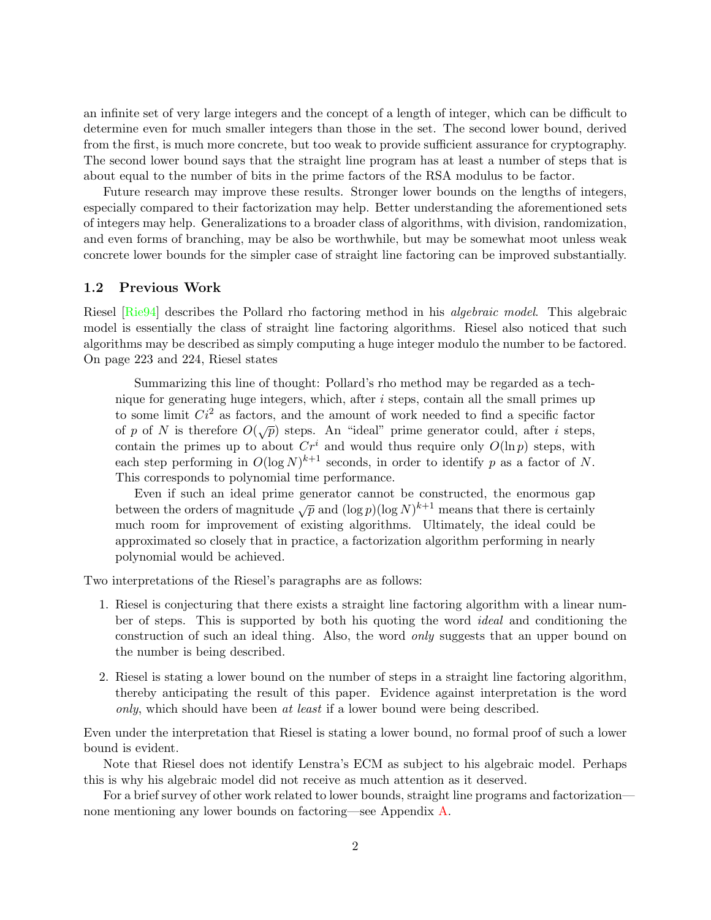an infinite set of very large integers and the concept of a length of integer, which can be difficult to determine even for much smaller integers than those in the set. The second lower bound, derived from the first, is much more concrete, but too weak to provide sufficient assurance for cryptography. The second lower bound says that the straight line program has at least a number of steps that is about equal to the number of bits in the prime factors of the RSA modulus to be factor.

Future research may improve these results. Stronger lower bounds on the lengths of integers, especially compared to their factorization may help. Better understanding the aforementioned sets of integers may help. Generalizations to a broader class of algorithms, with division, randomization, and even forms of branching, may be also be worthwhile, but may be somewhat moot unless weak concrete lower bounds for the simpler case of straight line factoring can be improved substantially.

#### 1.2 Previous Work

Riesel [\[Rie94\]](#page-9-0) describes the Pollard rho factoring method in his algebraic model. This algebraic model is essentially the class of straight line factoring algorithms. Riesel also noticed that such algorithms may be described as simply computing a huge integer modulo the number to be factored. On page 223 and 224, Riesel states

Summarizing this line of thought: Pollard's rho method may be regarded as a technique for generating huge integers, which, after  $i$  steps, contain all the small primes up to some limit  $Ci^2$  as factors, and the amount of work needed to find a specific factor of p of N is therefore  $O(\sqrt{p})$  steps. An "ideal" prime generator could, after i steps, contain the primes up to about  $Cr^i$  and would thus require only  $O(\ln p)$  steps, with each step performing in  $O(\log N)^{k+1}$  seconds, in order to identify p as a factor of N. This corresponds to polynomial time performance.

Even if such an ideal prime generator cannot be constructed, the enormous gap between the orders of magnitude  $\sqrt{p}$  and  $(\log p)(\log N)^{k+1}$  means that there is certainly much room for improvement of existing algorithms. Ultimately, the ideal could be approximated so closely that in practice, a factorization algorithm performing in nearly polynomial would be achieved.

Two interpretations of the Riesel's paragraphs are as follows:

- 1. Riesel is conjecturing that there exists a straight line factoring algorithm with a linear number of steps. This is supported by both his quoting the word ideal and conditioning the construction of such an ideal thing. Also, the word *only* suggests that an upper bound on the number is being described.
- 2. Riesel is stating a lower bound on the number of steps in a straight line factoring algorithm, thereby anticipating the result of this paper. Evidence against interpretation is the word only, which should have been at least if a lower bound were being described.

Even under the interpretation that Riesel is stating a lower bound, no formal proof of such a lower bound is evident.

Note that Riesel does not identify Lenstra's ECM as subject to his algebraic model. Perhaps this is why his algebraic model did not receive as much attention as it deserved.

For a brief survey of other work related to lower bounds, straight line programs and factorization none mentioning any lower bounds on factoring—see Appendix [A.](#page-9-1)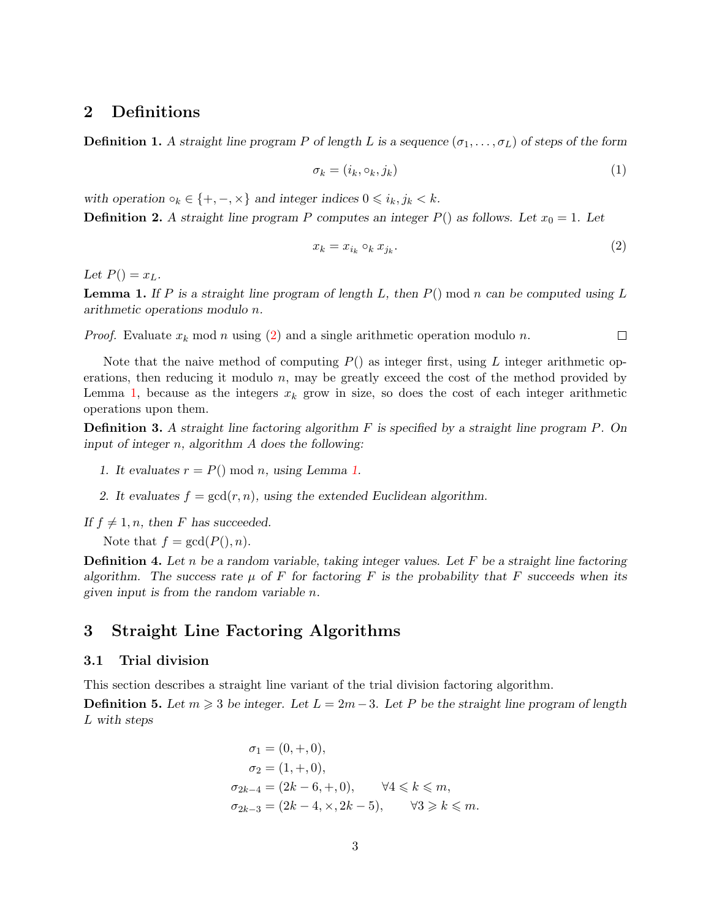### 2 Definitions

**Definition 1.** A straight line program P of length L is a sequence  $(\sigma_1, \ldots, \sigma_L)$  of steps of the form

$$
\sigma_k = (i_k, \circ_k, j_k) \tag{1}
$$

with operation  $\circ_k \in \{+, -, \times\}$  and integer indices  $0 \leq i_k, j_k < k$ . **Definition 2.** A straight line program P computes an integer  $P()$  as follows. Let  $x_0 = 1$ . Let

<span id="page-2-0"></span>
$$
x_k = x_{i_k} \circ_k x_{j_k}.\tag{2}
$$

Let  $P() = x_L$ .

<span id="page-2-1"></span>**Lemma 1.** If P is a straight line program of length L, then  $P()$  mod n can be computed using L arithmetic operations modulo n.

*Proof.* Evaluate  $x_k \mod n$  using [\(2\)](#page-2-0) and a single arithmetic operation modulo n.  $\Box$ 

Note that the naive method of computing  $P()$  as integer first, using L integer arithmetic operations, then reducing it modulo  $n$ , may be greatly exceed the cost of the method provided by Lemma [1,](#page-2-1) because as the integers  $x_k$  grow in size, so does the cost of each integer arithmetic operations upon them.

**Definition 3.** A straight line factoring algorithm  $F$  is specified by a straight line program  $P$ . On input of integer n, algorithm A does the following:

- [1.](#page-2-1) It evaluates  $r = P() \bmod n$ , using Lemma 1.
- 2. It evaluates  $f = \gcd(r, n)$ , using the extended Euclidean algorithm.

If  $f \neq 1, n$ , then F has succeeded.

Note that  $f = \gcd(P(), n)$ .

**Definition 4.** Let n be a random variable, taking integer values. Let F be a straight line factoring algorithm. The success rate  $\mu$  of F for factoring F is the probability that F succeeds when its given input is from the random variable n.

### 3 Straight Line Factoring Algorithms

#### <span id="page-2-2"></span>3.1 Trial division

This section describes a straight line variant of the trial division factoring algorithm.

**Definition 5.** Let  $m \geq 3$  be integer. Let  $L = 2m - 3$ . Let P be the straight line program of length L with steps

$$
\sigma_1 = (0, +, 0),
$$
  
\n
$$
\sigma_2 = (1, +, 0),
$$
  
\n
$$
\sigma_{2k-4} = (2k - 6, +, 0), \quad \forall 4 \le k \le m,
$$
  
\n
$$
\sigma_{2k-3} = (2k - 4, \times, 2k - 5), \quad \forall 3 \ge k \le m.
$$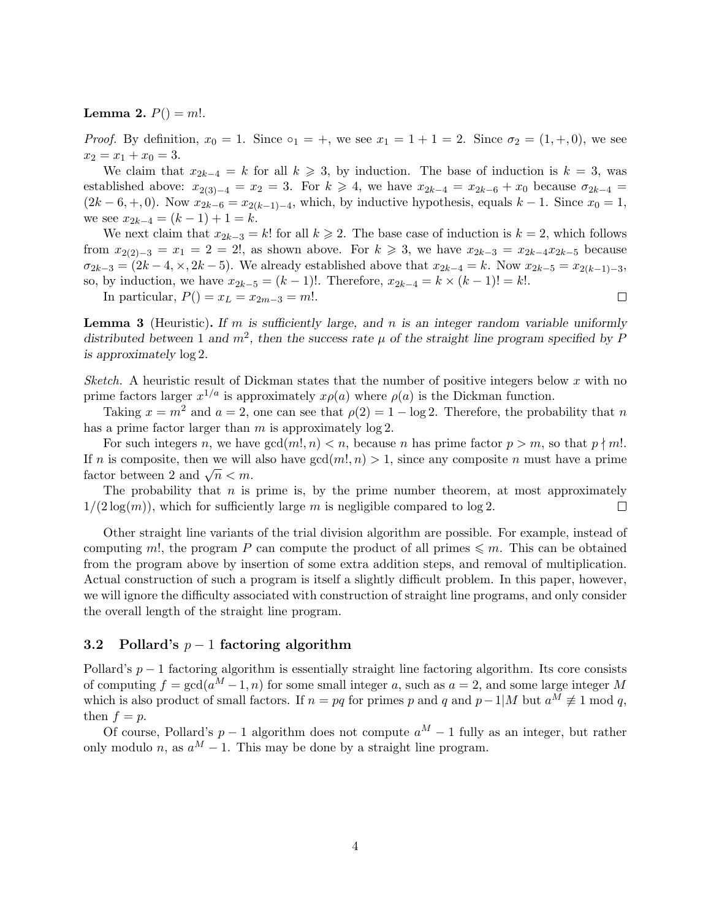**Lemma 2.**  $P() = m!$ .

*Proof.* By definition,  $x_0 = 1$ . Since  $\circ_1 = +$ , we see  $x_1 = 1 + 1 = 2$ . Since  $\sigma_2 = (1, +, 0)$ , we see  $x_2 = x_1 + x_0 = 3.$ 

We claim that  $x_{2k-4} = k$  for all  $k \ge 3$ , by induction. The base of induction is  $k = 3$ , was established above:  $x_{2(3)-4} = x_2 = 3$ . For  $k \ge 4$ , we have  $x_{2k-4} = x_{2k-6} + x_0$  because  $\sigma_{2k-4} =$  $(2k-6, +, 0)$ . Now  $x_{2k-6} = x_{2(k-1)-4}$ , which, by inductive hypothesis, equals  $k-1$ . Since  $x_0 = 1$ , we see  $x_{2k-4} = (k-1) + 1 = k$ .

We next claim that  $x_{2k-3} = k!$  for all  $k \geq 2$ . The base case of induction is  $k = 2$ , which follows from  $x_{2(2)-3} = x_1 = 2 = 2!$ , as shown above. For  $k \ge 3$ , we have  $x_{2k-3} = x_{2k-4}x_{2k-5}$  because  $\sigma_{2k-3} = (2k-4, \times, 2k-5)$ . We already established above that  $x_{2k-4} = k$ . Now  $x_{2k-5} = x_{2(k-1)-3}$ , so, by induction, we have  $x_{2k-5} = (k-1)!$ . Therefore,  $x_{2k-4} = k \times (k-1)! = k!$ .

In particular,  $P() = x_L = x_{2m-3} = m!$ .

**Lemma 3** (Heuristic). If m is sufficiently large, and n is an integer random variable uniformly distributed between 1 and  $m^2$ , then the success rate  $\mu$  of the straight line program specified by F is approximately log 2.

Sketch. A heuristic result of Dickman states that the number of positive integers below x with no prime factors larger  $x^{1/a}$  is approximately  $x\rho(a)$  where  $\rho(a)$  is the Dickman function.

Taking  $x = m^2$  and  $a = 2$ , one can see that  $\rho(2) = 1 - \log 2$ . Therefore, the probability that n has a prime factor larger than  $m$  is approximately  $\log 2$ .

For such integers n, we have  $gcd(m, n) < n$ , because n has prime factor  $p > m$ , so that  $p \nmid m!$ . If n is composite, then we will also have  $gcd(m, n) > 1$ , since any composite n must have a prime If *n* is composite, then we will<br>factor between 2 and  $\sqrt{n} < m$ .

The probability that  $n$  is prime is, by the prime number theorem, at most approximately  $1/(2 \log(m))$ , which for sufficiently large m is negligible compared to  $\log 2$ .  $\Box$ 

Other straight line variants of the trial division algorithm are possible. For example, instead of computing m!, the program P can compute the product of all primes  $\leqslant m$ . This can be obtained from the program above by insertion of some extra addition steps, and removal of multiplication. Actual construction of such a program is itself a slightly difficult problem. In this paper, however, we will ignore the difficulty associated with construction of straight line programs, and only consider the overall length of the straight line program.

#### 3.2 Pollard's  $p-1$  factoring algorithm

Pollard's  $p-1$  factoring algorithm is essentially straight line factoring algorithm. Its core consists of computing  $f = \gcd(a^M - 1, n)$  for some small integer a, such as  $a = 2$ , and some large integer M which is also product of small factors. If  $n = pq$  for primes p and q and  $p-1/M$  but  $a^M \not\equiv 1 \mod q$ , then  $f = p$ .

Of course, Pollard's  $p-1$  algorithm does not compute  $a^M-1$  fully as an integer, but rather only modulo n, as  $a^M - 1$ . This may be done by a straight line program.

 $\Box$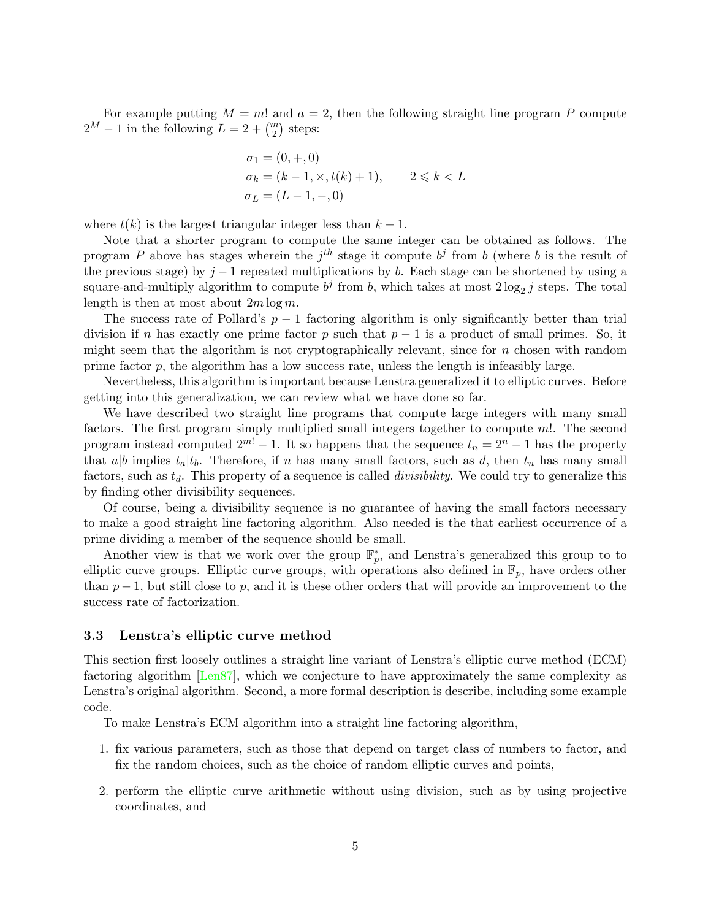For example putting  $M = m!$  and  $a = 2$ , then the following straight line program P compute  $2^M - 1$  in the following  $L = 2 + {m \choose 2}$  steps:

$$
\sigma_1 = (0, +, 0) \n\sigma_k = (k - 1, \times, t(k) + 1), \qquad 2 \le k < L \n\sigma_L = (L - 1, -, 0)
$$

where  $t(k)$  is the largest triangular integer less than  $k-1$ .

Note that a shorter program to compute the same integer can be obtained as follows. The program P above has stages wherein the  $j<sup>th</sup>$  stage it compute  $b<sup>j</sup>$  from b (where b is the result of the previous stage) by  $j-1$  repeated multiplications by b. Each stage can be shortened by using a square-and-multiply algorithm to compute  $b^j$  from b, which takes at most  $2\log_2 j$  steps. The total length is then at most about  $2m \log m$ .

The success rate of Pollard's  $p-1$  factoring algorithm is only significantly better than trial division if n has exactly one prime factor p such that  $p-1$  is a product of small primes. So, it might seem that the algorithm is not cryptographically relevant, since for  $n$  chosen with random prime factor  $p$ , the algorithm has a low success rate, unless the length is infeasibly large.

Nevertheless, this algorithm is important because Lenstra generalized it to elliptic curves. Before getting into this generalization, we can review what we have done so far.

We have described two straight line programs that compute large integers with many small factors. The first program simply multiplied small integers together to compute m!. The second program instead computed  $2^{m!} - 1$ . It so happens that the sequence  $t_n = 2^n - 1$  has the property that a|b implies  $t_a|t_b$ . Therefore, if n has many small factors, such as d, then  $t_n$  has many small factors, such as  $t_d$ . This property of a sequence is called *divisibility*. We could try to generalize this by finding other divisibility sequences.

Of course, being a divisibility sequence is no guarantee of having the small factors necessary to make a good straight line factoring algorithm. Also needed is the that earliest occurrence of a prime dividing a member of the sequence should be small.

Another view is that we work over the group  $\mathbb{F}_p^*$ , and Lenstra's generalized this group to to elliptic curve groups. Elliptic curve groups, with operations also defined in  $\mathbb{F}_p$ , have orders other than  $p-1$ , but still close to p, and it is these other orders that will provide an improvement to the success rate of factorization.

#### 3.3 Lenstra's elliptic curve method

This section first loosely outlines a straight line variant of Lenstra's elliptic curve method (ECM) factoring algorithm [\[Len87\]](#page-8-0), which we conjecture to have approximately the same complexity as Lenstra's original algorithm. Second, a more formal description is describe, including some example code.

To make Lenstra's ECM algorithm into a straight line factoring algorithm,

- 1. fix various parameters, such as those that depend on target class of numbers to factor, and fix the random choices, such as the choice of random elliptic curves and points,
- 2. perform the elliptic curve arithmetic without using division, such as by using projective coordinates, and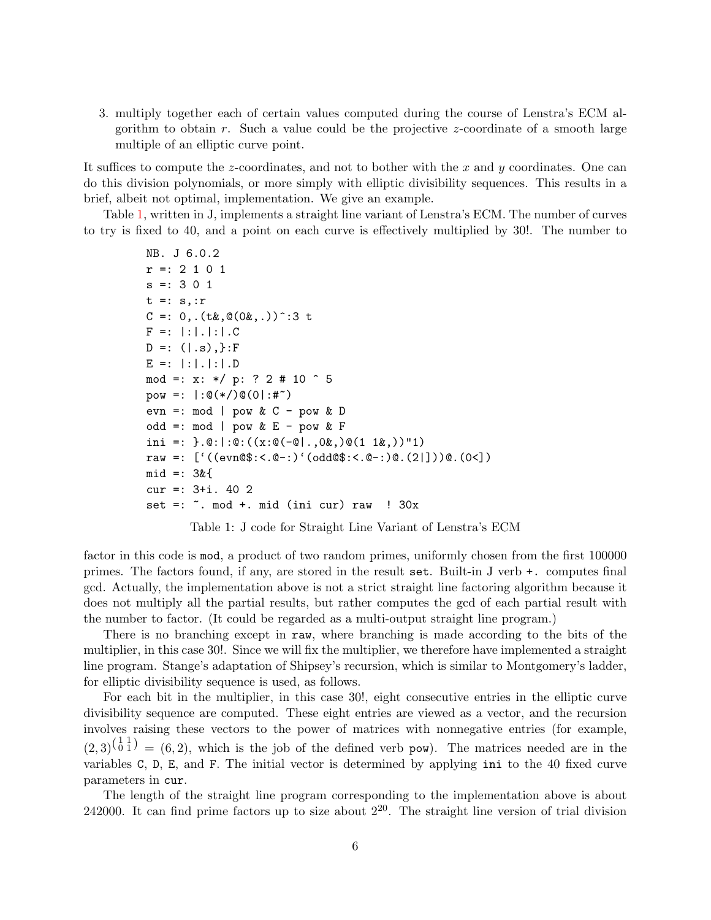3. multiply together each of certain values computed during the course of Lenstra's ECM algorithm to obtain r. Such a value could be the projective  $z$ -coordinate of a smooth large multiple of an elliptic curve point.

It suffices to compute the z-coordinates, and not to bother with the x and y coordinates. One can do this division polynomials, or more simply with elliptic divisibility sequences. This results in a brief, albeit not optimal, implementation. We give an example.

Table [1,](#page-5-0) written in J, implements a straight line variant of Lenstra's ECM. The number of curves to try is fixed to 40, and a point on each curve is effectively multiplied by 30!. The number to

```
NB. J 6.0.2
r =: 2 1 0 1
s =: 301t =: s, :rC =: 0, .(t\&0, .(0\&0, .)) :3 t
F =: | : | : | : | : | : CD =: ( | .s) , \} : FE =: | : | : | : | : | : Dmod =: x: */ p: ? 2 # 10 \hat{ } 5
pow =: |: \mathbb{O}(*/)\mathbb{O}(0|: \#^*)evn =: mod | pow & C - pow & D
odd =: mod \mid pow \& E - pow \& Fini =: \}.\mathbb{Q}:|:\mathbb{Q}:((x:\mathbb{Q}(-\mathbb{Q}),0k,0\mathbb{Q}(1 1k,)))"1)raw =: ['((evn@$:<.@-:)'(odd@$:<.@-:)@.(2|]))@.(0<])
mid =: 3&{
cur =: 3+i. 40 2
set =: \tilde{ }. mod +. mid (ini cur) raw ! 30x
```
<span id="page-5-0"></span>Table 1: J code for Straight Line Variant of Lenstra's ECM

factor in this code is mod, a product of two random primes, uniformly chosen from the first 100000 primes. The factors found, if any, are stored in the result set. Built-in J verb +. computes final gcd. Actually, the implementation above is not a strict straight line factoring algorithm because it does not multiply all the partial results, but rather computes the gcd of each partial result with the number to factor. (It could be regarded as a multi-output straight line program.)

There is no branching except in raw, where branching is made according to the bits of the multiplier, in this case 30!. Since we will fix the multiplier, we therefore have implemented a straight line program. Stange's adaptation of Shipsey's recursion, which is similar to Montgomery's ladder, for elliptic divisibility sequence is used, as follows.

For each bit in the multiplier, in this case 30!, eight consecutive entries in the elliptic curve divisibility sequence are computed. These eight entries are viewed as a vector, and the recursion involves raising these vectors to the power of matrices with nonnegative entries (for example,  $(2,3)^{\left(\begin{matrix}1&1\\0&1\end{matrix}\right)} = (6,2)$ , which is the job of the defined verb pow). The matrices needed are in the variables C, D, E, and F. The initial vector is determined by applying ini to the 40 fixed curve parameters in cur.

The length of the straight line program corresponding to the implementation above is about 242000. It can find prime factors up to size about  $2^{20}$ . The straight line version of trial division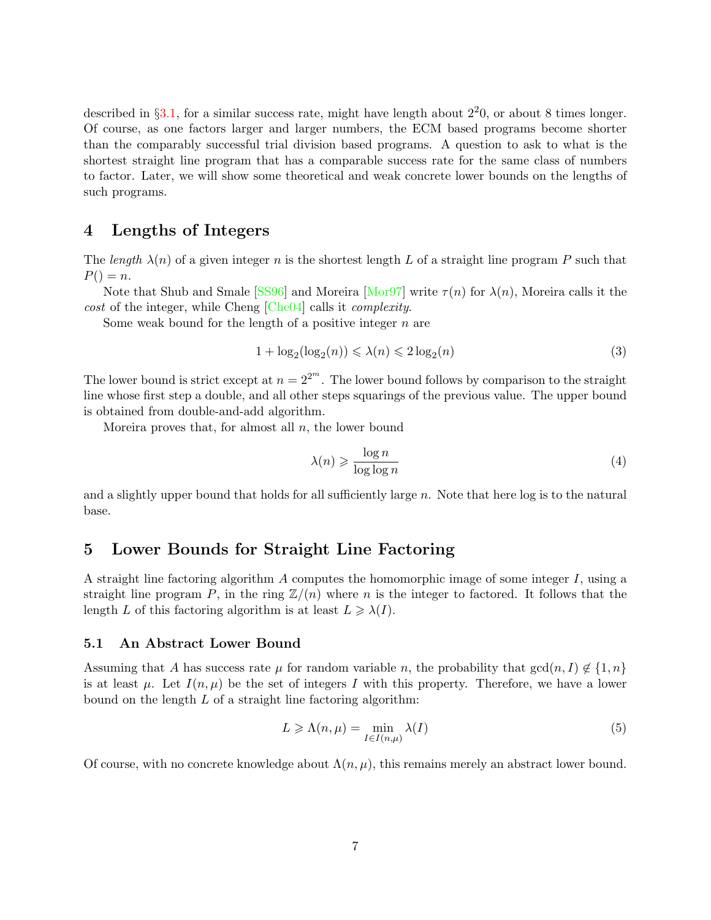described in  $\S 3.1$ , for a similar success rate, might have length about  $2^20$ , or about 8 times longer. Of course, as one factors larger and larger numbers, the ECM based programs become shorter than the comparably successful trial division based programs. A question to ask to what is the shortest straight line program that has a comparable success rate for the same class of numbers to factor. Later, we will show some theoretical and weak concrete lower bounds on the lengths of such programs.

### 4 Lengths of Integers

The length  $\lambda(n)$  of a given integer n is the shortest length L of a straight line program P such that  $P() = n$ .

Note that Shub and Smale [\[SS96\]](#page-9-2) and Moreira [\[Mor97\]](#page-8-1) write  $\tau(n)$  for  $\lambda(n)$ , Moreira calls it the cost of the integer, while Cheng [\[Che04\]](#page-8-2) calls it complexity.

Some weak bound for the length of a positive integer  $n$  are

$$
1 + \log_2(\log_2(n)) \leq \lambda(n) \leq 2\log_2(n)
$$
\n(3)

The lower bound is strict except at  $n = 2^{2^m}$ . The lower bound follows by comparison to the straight line whose first step a double, and all other steps squarings of the previous value. The upper bound is obtained from double-and-add algorithm.

Moreira proves that, for almost all  $n$ , the lower bound

$$
\lambda(n) \geqslant \frac{\log n}{\log \log n} \tag{4}
$$

and a slightly upper bound that holds for all sufficiently large  $n$ . Note that here log is to the natural base.

### 5 Lower Bounds for Straight Line Factoring

A straight line factoring algorithm A computes the homomorphic image of some integer  $I$ , using a straight line program P, in the ring  $\mathbb{Z}/(n)$  where n is the integer to factored. It follows that the length L of this factoring algorithm is at least  $L \geq \lambda(I)$ .

#### 5.1 An Abstract Lower Bound

Assuming that A has success rate  $\mu$  for random variable n, the probability that  $gcd(n, I) \notin \{1, n\}$ is at least  $\mu$ . Let  $I(n, \mu)$  be the set of integers I with this property. Therefore, we have a lower bound on the length  $L$  of a straight line factoring algorithm:

$$
L \geqslant \Lambda(n,\mu) = \min_{I \in I(n,\mu)} \lambda(I) \tag{5}
$$

Of course, with no concrete knowledge about  $\Lambda(n,\mu)$ , this remains merely an abstract lower bound.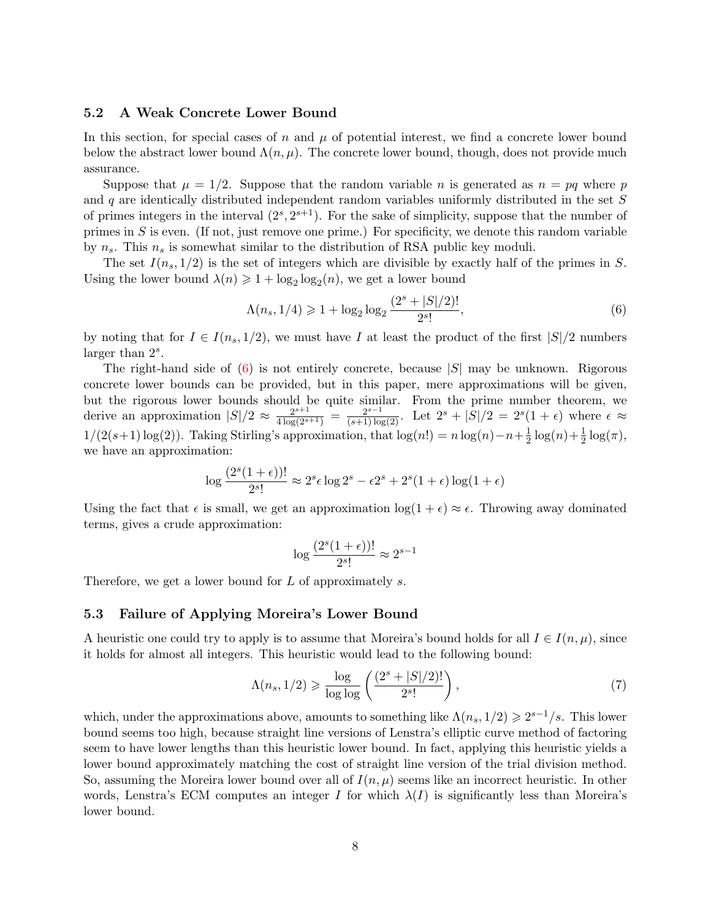#### 5.2 A Weak Concrete Lower Bound

In this section, for special cases of n and  $\mu$  of potential interest, we find a concrete lower bound below the abstract lower bound  $\Lambda(n,\mu)$ . The concrete lower bound, though, does not provide much assurance.

Suppose that  $\mu = 1/2$ . Suppose that the random variable n is generated as  $n = pq$  where p and  $q$  are identically distributed independent random variables uniformly distributed in the set  $S$ of primes integers in the interval  $(2^s, 2^{s+1})$ . For the sake of simplicity, suppose that the number of primes in  $S$  is even. (If not, just remove one prime.) For specificity, we denote this random variable by  $n_s$ . This  $n_s$  is somewhat similar to the distribution of RSA public key moduli.

The set  $I(n_s, 1/2)$  is the set of integers which are divisible by exactly half of the primes in S. Using the lower bound  $\lambda(n) \geq 1 + \log_2 \log_2(n)$ , we get a lower bound

<span id="page-7-0"></span>
$$
\Lambda(n_s, 1/4) \ge 1 + \log_2 \log_2 \frac{(2^s + |S|/2)!}{2^s!},\tag{6}
$$

by noting that for  $I \in I(n_s, 1/2)$ , we must have I at least the product of the first  $|S|/2$  numbers larger than  $2<sup>s</sup>$ .

The right-hand side of  $(6)$  is not entirely concrete, because  $|S|$  may be unknown. Rigorous concrete lower bounds can be provided, but in this paper, mere approximations will be given, but the rigorous lower bounds should be quite similar. From the prime number theorem, we derive an approximation  $|S|/2 \approx \frac{2^{s+1}}{4 \log(2^{s+1})} = \frac{2^{s-1}}{(s+1) \log(2)}$ . Let  $2^s + |S|/2 = 2^s(1+\epsilon)$  where  $\epsilon \approx$  $1/(2(s+1)\log(2))$ . Taking Stirling's approximation, that  $\log(n) = n \log(n) - n + \frac{1}{2}$  $\frac{1}{2}\log(n)+\frac{1}{2}\log(\pi),$ we have an approximation:

$$
\log \frac{(2^s(1+\epsilon))!}{2^s!} \approx 2^s \epsilon \log 2^s - \epsilon 2^s + 2^s(1+\epsilon) \log(1+\epsilon)
$$

Using the fact that  $\epsilon$  is small, we get an approximation  $\log(1 + \epsilon) \approx \epsilon$ . Throwing away dominated terms, gives a crude approximation:

$$
\log \frac{(2^s(1+\epsilon))!}{2^s!} \approx 2^{s-1}
$$

Therefore, we get a lower bound for L of approximately s.

#### 5.3 Failure of Applying Moreira's Lower Bound

A heuristic one could try to apply is to assume that Moreira's bound holds for all  $I \in I(n,\mu)$ , since it holds for almost all integers. This heuristic would lead to the following bound:

$$
\Lambda(n_s, 1/2) \geqslant \frac{\log}{\log \log} \left( \frac{(2^s + |S|/2)!}{2^{s!}} \right),\tag{7}
$$

which, under the approximations above, amounts to something like  $\Lambda(n_s, 1/2) \geq 2^{s-1}/s$ . This lower bound seems too high, because straight line versions of Lenstra's elliptic curve method of factoring seem to have lower lengths than this heuristic lower bound. In fact, applying this heuristic yields a lower bound approximately matching the cost of straight line version of the trial division method. So, assuming the Moreira lower bound over all of  $I(n,\mu)$  seems like an incorrect heuristic. In other words, Lenstra's ECM computes an integer I for which  $\lambda(I)$  is significantly less than Moreira's lower bound.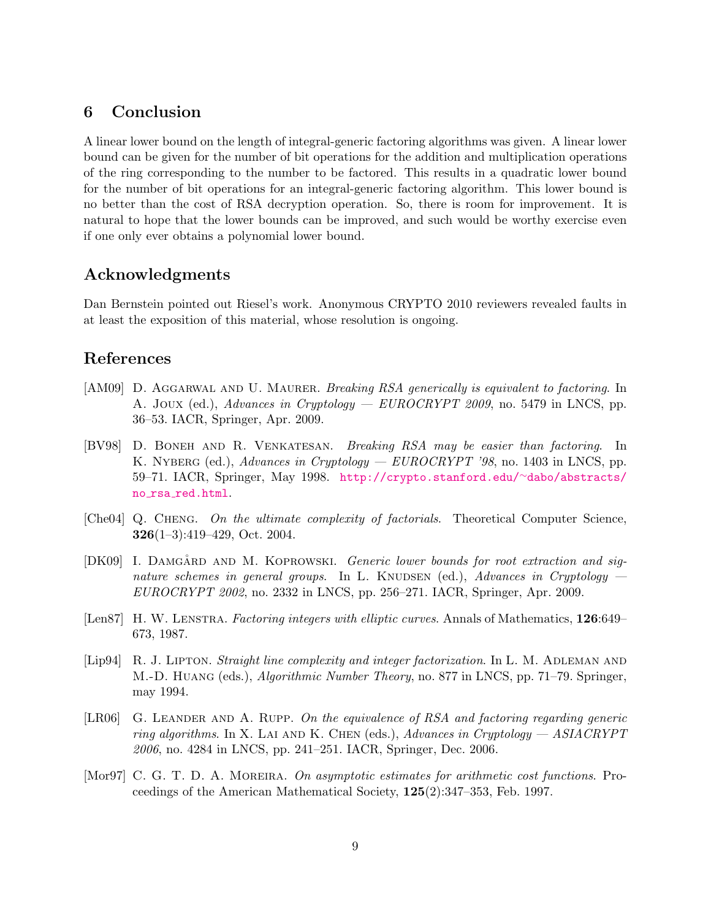# 6 Conclusion

A linear lower bound on the length of integral-generic factoring algorithms was given. A linear lower bound can be given for the number of bit operations for the addition and multiplication operations of the ring corresponding to the number to be factored. This results in a quadratic lower bound for the number of bit operations for an integral-generic factoring algorithm. This lower bound is no better than the cost of RSA decryption operation. So, there is room for improvement. It is natural to hope that the lower bounds can be improved, and such would be worthy exercise even if one only ever obtains a polynomial lower bound.

## Acknowledgments

Dan Bernstein pointed out Riesel's work. Anonymous CRYPTO 2010 reviewers revealed faults in at least the exposition of this material, whose resolution is ongoing.

# References

- <span id="page-8-5"></span>[AM09] D. AGGARWAL AND U. MAURER. Breaking RSA generically is equivalent to factoring. In A. Joux (ed.), Advances in Cryptology — EUROCRYPT 2009, no. 5479 in LNCS, pp. 36–53. IACR, Springer, Apr. 2009.
- <span id="page-8-6"></span>[BV98] D. Boneh and R. Venkatesan. Breaking RSA may be easier than factoring. In K. NYBERG (ed.), Advances in Cryptology —  $EUROCRYPT'$  '98, no. 1403 in LNCS, pp. 59–71. IACR, Springer, May 1998. [http://crypto.stanford.edu/](http://crypto.stanford.edu/~dabo/abstracts/no_rsa_red.html)∼dabo/abstracts/ no rsa [red.html](http://crypto.stanford.edu/~dabo/abstracts/no_rsa_red.html).
- <span id="page-8-2"></span>[Che04] Q. Cheng. On the ultimate complexity of factorials. Theoretical Computer Science, 326(1–3):419–429, Oct. 2004.
- <span id="page-8-3"></span>[DK09] I. DAMGÅRD AND M. KOPROWSKI. Generic lower bounds for root extraction and signature schemes in general groups. In L. KNUDSEN (ed.), Advances in Cryptology  $-$ EUROCRYPT 2002, no. 2332 in LNCS, pp. 256–271. IACR, Springer, Apr. 2009.
- <span id="page-8-0"></span>[Len87] H. W. LENSTRA. Factoring integers with elliptic curves. Annals of Mathematics, 126:649– 673, 1987.
- <span id="page-8-7"></span>[Lip94] R. J. LIPTON. Straight line complexity and integer factorization. In L. M. ADLEMAN AND M.-D. Huang (eds.), Algorithmic Number Theory, no. 877 in LNCS, pp. 71–79. Springer, may 1994.
- <span id="page-8-4"></span>[LR06] G. LEANDER AND A. RUPP. On the equivalence of RSA and factoring regarding generic ring algorithms. In X. LAI AND K. CHEN (eds.), Advances in Cryptology  $-$  ASIACRYPT 2006, no. 4284 in LNCS, pp. 241–251. IACR, Springer, Dec. 2006.
- <span id="page-8-1"></span>[Mor97] C. G. T. D. A. MOREIRA. On asymptotic estimates for arithmetic cost functions. Proceedings of the American Mathematical Society, 125(2):347–353, Feb. 1997.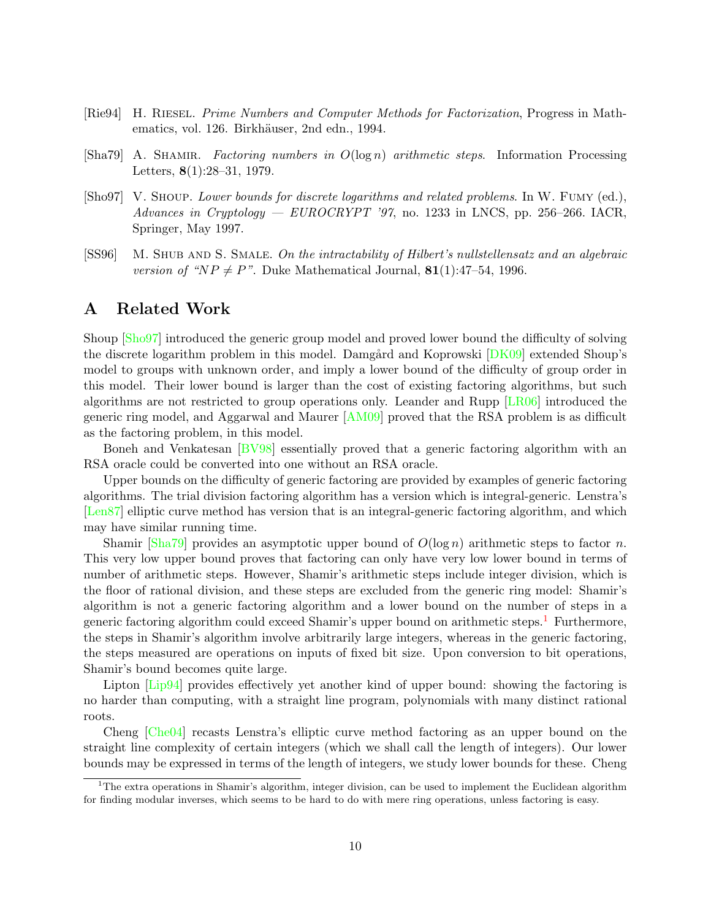- <span id="page-9-0"></span>[Rie94] H. Riesel. Prime Numbers and Computer Methods for Factorization, Progress in Mathematics, vol. 126. Birkhäuser, 2nd edn., 1994.
- <span id="page-9-4"></span>[Sha79] A. SHAMIR. Factoring numbers in  $O(\log n)$  arithmetic steps. Information Processing Letters, 8(1):28–31, 1979.
- <span id="page-9-3"></span>[Sho97] V. SHOUP. Lower bounds for discrete logarithms and related problems. In W. FUMY (ed.), Advances in Cryptology — EUROCRYPT '97, no. 1233 in LNCS, pp. 256–266. IACR, Springer, May 1997.
- <span id="page-9-2"></span>[SS96] M. SHUB AND S. SMALE. On the intractability of Hilbert's nullstellensatz and an algebraic version of "NP  $\neq$  P". Duke Mathematical Journal, 81(1):47–54, 1996.

### <span id="page-9-1"></span>A Related Work

Shoup [\[Sho97\]](#page-9-3) introduced the generic group model and proved lower bound the difficulty of solving the discrete logarithm problem in this model. Damgård and Koprowski [\[DK09\]](#page-8-3) extended Shoup's model to groups with unknown order, and imply a lower bound of the difficulty of group order in this model. Their lower bound is larger than the cost of existing factoring algorithms, but such algorithms are not restricted to group operations only. Leander and Rupp [\[LR06\]](#page-8-4) introduced the generic ring model, and Aggarwal and Maurer [\[AM09\]](#page-8-5) proved that the RSA problem is as difficult as the factoring problem, in this model.

Boneh and Venkatesan [\[BV98\]](#page-8-6) essentially proved that a generic factoring algorithm with an RSA oracle could be converted into one without an RSA oracle.

Upper bounds on the difficulty of generic factoring are provided by examples of generic factoring algorithms. The trial division factoring algorithm has a version which is integral-generic. Lenstra's [\[Len87\]](#page-8-0) elliptic curve method has version that is an integral-generic factoring algorithm, and which may have similar running time.

Shamir [\[Sha79\]](#page-9-4) provides an asymptotic upper bound of  $O(\log n)$  arithmetic steps to factor n. This very low upper bound proves that factoring can only have very low lower bound in terms of number of arithmetic steps. However, Shamir's arithmetic steps include integer division, which is the floor of rational division, and these steps are excluded from the generic ring model: Shamir's algorithm is not a generic factoring algorithm and a lower bound on the number of steps in a generic factoring algorithm could exceed Shamir's upper bound on arithmetic steps.<sup>[1](#page-9-5)</sup> Furthermore, the steps in Shamir's algorithm involve arbitrarily large integers, whereas in the generic factoring, the steps measured are operations on inputs of fixed bit size. Upon conversion to bit operations, Shamir's bound becomes quite large.

Lipton [\[Lip94\]](#page-8-7) provides effectively yet another kind of upper bound: showing the factoring is no harder than computing, with a straight line program, polynomials with many distinct rational roots.

Cheng [\[Che04\]](#page-8-2) recasts Lenstra's elliptic curve method factoring as an upper bound on the straight line complexity of certain integers (which we shall call the length of integers). Our lower bounds may be expressed in terms of the length of integers, we study lower bounds for these. Cheng

<span id="page-9-5"></span><sup>&</sup>lt;sup>1</sup>The extra operations in Shamir's algorithm, integer division, can be used to implement the Euclidean algorithm for finding modular inverses, which seems to be hard to do with mere ring operations, unless factoring is easy.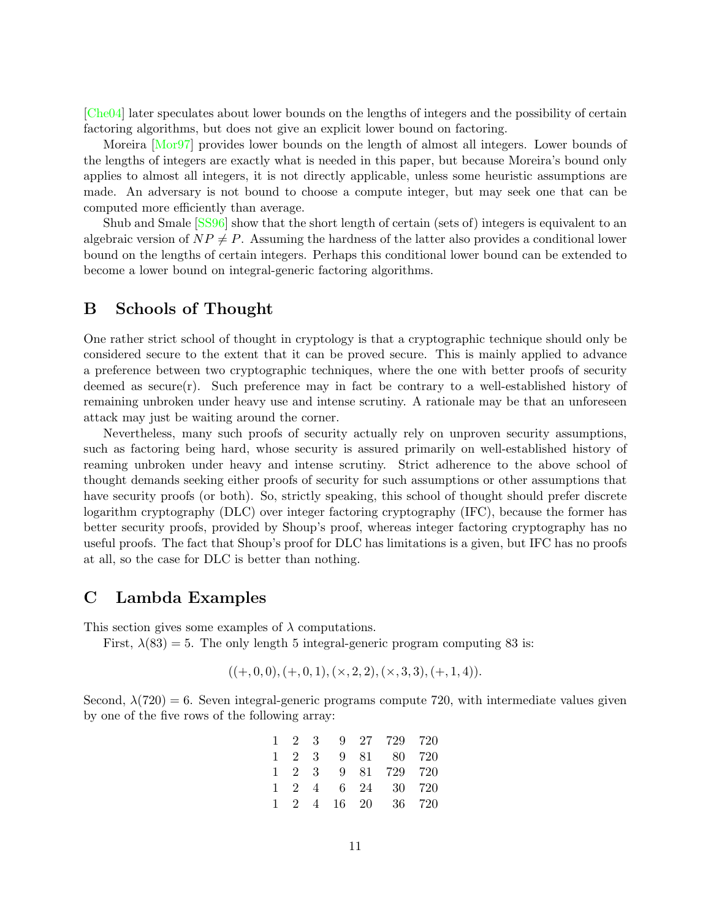[\[Che04\]](#page-8-2) later speculates about lower bounds on the lengths of integers and the possibility of certain factoring algorithms, but does not give an explicit lower bound on factoring.

Moreira [\[Mor97\]](#page-8-1) provides lower bounds on the length of almost all integers. Lower bounds of the lengths of integers are exactly what is needed in this paper, but because Moreira's bound only applies to almost all integers, it is not directly applicable, unless some heuristic assumptions are made. An adversary is not bound to choose a compute integer, but may seek one that can be computed more efficiently than average.

Shub and Smale [\[SS96\]](#page-9-2) show that the short length of certain (sets of) integers is equivalent to an algebraic version of  $NP \neq P$ . Assuming the hardness of the latter also provides a conditional lower bound on the lengths of certain integers. Perhaps this conditional lower bound can be extended to become a lower bound on integral-generic factoring algorithms.

### B Schools of Thought

One rather strict school of thought in cryptology is that a cryptographic technique should only be considered secure to the extent that it can be proved secure. This is mainly applied to advance a preference between two cryptographic techniques, where the one with better proofs of security deemed as  $secure(r)$ . Such preference may in fact be contrary to a well-established history of remaining unbroken under heavy use and intense scrutiny. A rationale may be that an unforeseen attack may just be waiting around the corner.

Nevertheless, many such proofs of security actually rely on unproven security assumptions, such as factoring being hard, whose security is assured primarily on well-established history of reaming unbroken under heavy and intense scrutiny. Strict adherence to the above school of thought demands seeking either proofs of security for such assumptions or other assumptions that have security proofs (or both). So, strictly speaking, this school of thought should prefer discrete logarithm cryptography (DLC) over integer factoring cryptography (IFC), because the former has better security proofs, provided by Shoup's proof, whereas integer factoring cryptography has no useful proofs. The fact that Shoup's proof for DLC has limitations is a given, but IFC has no proofs at all, so the case for DLC is better than nothing.

### C Lambda Examples

This section gives some examples of  $\lambda$  computations.

First,  $\lambda(83) = 5$ . The only length 5 integral-generic program computing 83 is:

$$
((+,0,0), (+,0,1), (×,2,2), (×,3,3), (+,1,4)).
$$

Second,  $\lambda(720) = 6$ . Seven integral-generic programs compute 720, with intermediate values given by one of the five rows of the following array:

|  |  | 1 2 3 9 27 729 720 |  |
|--|--|--------------------|--|
|  |  | 1 2 3 9 81 80 720  |  |
|  |  | 1 2 3 9 81 729 720 |  |
|  |  | 1 2 4 6 24 30 720  |  |
|  |  | 1 2 4 16 20 36 720 |  |